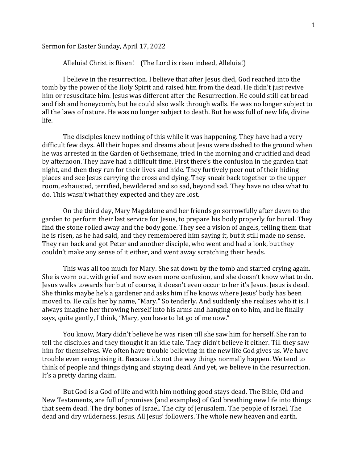Sermon for Easter Sunday, April 17, 2022

Alleluia! Christ is Risen! (The Lord is risen indeed, Alleluia!)

I believe in the resurrection. I believe that after Jesus died, God reached into the tomb by the power of the Holy Spirit and raised him from the dead. He didn't just revive him or resuscitate him. Jesus was different after the Resurrection. He could still eat bread and fish and honeycomb, but he could also walk through walls. He was no longer subject to all the laws of nature. He was no longer subject to death. But he was full of new life, divine life.

The disciples knew nothing of this while it was happening. They have had a very difficult few days. All their hopes and dreams about Jesus were dashed to the ground when he was arrested in the Garden of Gethsemane, tried in the morning and crucified and dead by afternoon. They have had a difficult time. First there's the confusion in the garden that night, and then they run for their lives and hide. They furtively peer out of their hiding places and see Jesus carrying the cross and dying. They sneak back together to the upper room, exhausted, terrified, bewildered and so sad, beyond sad. They have no idea what to do. This wasn't what they expected and they are lost.

On the third day, Mary Magdalene and her friends go sorrowfully after dawn to the garden to perform their last service for Jesus, to prepare his body properly for burial. They find the stone rolled away and the body gone. They see a vision of angels, telling them that he is risen, as he had said, and they remembered him saying it, but it still made no sense. They ran back and got Peter and another disciple, who went and had a look, but they couldn't make any sense of it either, and went away scratching their heads.

This was all too much for Mary. She sat down by the tomb and started crying again. She is worn out with grief and now even more confusion, and she doesn't know what to do. Jesus walks towards her but of course, it doesn't even occur to her it's Jesus. Jesus is dead. She thinks maybe he's a gardener and asks him if he knows where Jesus' body has been moved to. He calls her by name, "Mary." So tenderly. And suddenly she realises who it is. I always imagine her throwing herself into his arms and hanging on to him, and he finally says, quite gently, I think, "Mary, you have to let go of me now."

You know, Mary didn't believe he was risen till she saw him for herself. She ran to tell the disciples and they thought it an idle tale. They didn't believe it either. Till they saw him for themselves. We often have trouble believing in the new life God gives us. We have trouble even recognising it. Because it's not the way things normally happen. We tend to think of people and things dying and staying dead. And yet, we believe in the resurrection. It's a pretty daring claim.

But God is a God of life and with him nothing good stays dead. The Bible, Old and New Testaments, are full of promises (and examples) of God breathing new life into things that seem dead. The dry bones of Israel. The city of Jerusalem. The people of Israel. The dead and dry wilderness. Jesus. All Jesus' followers. The whole new heaven and earth.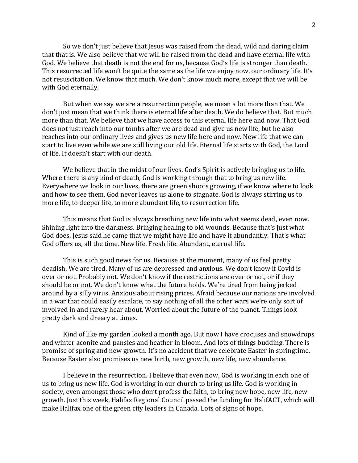So we don't just believe that Jesus was raised from the dead, wild and daring claim that that is. We also believe that we will be raised from the dead and have eternal life with God. We believe that death is not the end for us, because God's life is stronger than death. This resurrected life won't be quite the same as the life we enjoy now, our ordinary life. It's not resuscitation. We know that much. We don't know much more, except that we will be with God eternally.

But when we say we are a resurrection people, we mean a lot more than that. We don't just mean that we think there is eternal life after death. We do believe that. But much more than that. We believe that we have access to this eternal life here and now. That God does not just reach into our tombs after we are dead and give us new life, but he also reaches into our ordinary lives and gives us new life here and now. New life that we can start to live even while we are still living our old life. Eternal life starts with God, the Lord of life. It doesn't start with our death.

We believe that in the midst of our lives, God's Spirit is actively bringing us to life. Where there is any kind of death, God is working through that to bring us new life. Everywhere we look in our lives, there are green shoots growing, if we know where to look and how to see them. God never leaves us alone to stagnate. God is always stirring us to more life, to deeper life, to more abundant life, to resurrection life.

This means that God is always breathing new life into what seems dead, even now. Shining light into the darkness. Bringing healing to old wounds. Because that's just what God does. Jesus said he came that we might have life and have it abundantly. That's what God offers us, all the time. New life. Fresh life. Abundant, eternal life.

This is such good news for us. Because at the moment, many of us feel pretty deadish. We are tired. Many of us are depressed and anxious. We don't know if Covid is over or not. Probably not. We don't know if the restrictions are over or not, or if they should be or not. We don't know what the future holds. We're tired from being jerked around by a silly virus. Anxious about rising prices. Afraid because our nations are involved in a war that could easily escalate, to say nothing of all the other wars we're only sort of involved in and rarely hear about. Worried about the future of the planet. Things look pretty dark and dreary at times.

Kind of like my garden looked a month ago. But now I have crocuses and snowdrops and winter aconite and pansies and heather in bloom. And lots of things budding. There is promise of spring and new growth. It's no accident that we celebrate Easter in springtime. Because Easter also promises us new birth, new growth, new life, new abundance.

I believe in the resurrection. I believe that even now, God is working in each one of us to bring us new life. God is working in our church to bring us life. God is working in society, even amongst those who don't profess the faith, to bring new hope, new life, new growth. Just this week, Halifax Regional Council passed the funding for HalifACT, which will make Halifax one of the green city leaders in Canada. Lots of signs of hope.